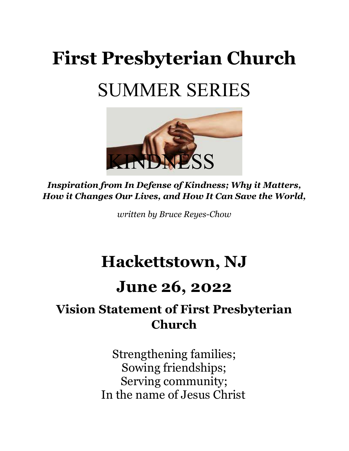# First Presbyterian Church SUMMER SERIES



Inspiration from In Defense of Kindness; Why it Matters, How it Changes Our Lives, and How It Can Save the World,

written by Bruce Reyes-Chow

# Hackettstown, NJ

## June 26, 2022

### Vision Statement of First Presbyterian Church

Strengthening families; Sowing friendships; Serving community; In the name of Jesus Christ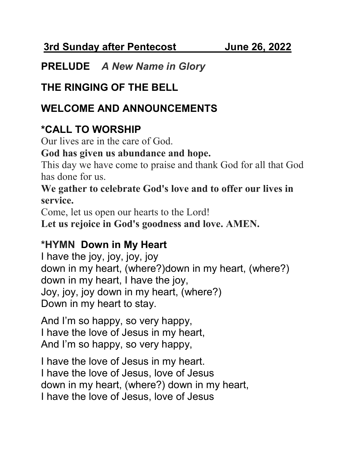3rd Sunday after Pentecost June 26, 2022

#### PRELUDE A New Name in Glory

#### THE RINGING OF THE BELL

#### WELCOME AND ANNOUNCEMENTS

#### \*CALL TO WORSHIP

Our lives are in the care of God.

#### God has given us abundance and hope.

This day we have come to praise and thank God for all that God has done for us.

#### We gather to celebrate God's love and to offer our lives in service.

Come, let us open our hearts to the Lord!

Let us rejoice in God's goodness and love. AMEN.

#### \*HYMN Down in My Heart

I have the joy, joy, joy, joy down in my heart, (where?)down in my heart, (where?) down in my heart, I have the joy, Joy, joy, joy down in my heart, (where?) Down in my heart to stay.

And I'm so happy, so very happy, I have the love of Jesus in my heart, And I'm so happy, so very happy,

I have the love of Jesus in my heart. I have the love of Jesus, love of Jesus down in my heart, (where?) down in my heart, I have the love of Jesus, love of Jesus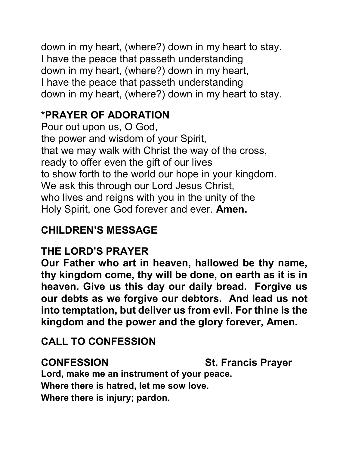down in my heart, (where?) down in my heart to stay. I have the peace that passeth understanding down in my heart, (where?) down in my heart, I have the peace that passeth understanding down in my heart, (where?) down in my heart to stay.

#### \*PRAYER OF ADORATION

Pour out upon us, O God, the power and wisdom of your Spirit, that we may walk with Christ the way of the cross, ready to offer even the gift of our lives to show forth to the world our hope in your kingdom. We ask this through our Lord Jesus Christ, who lives and reigns with you in the unity of the Holy Spirit, one God forever and ever. Amen.

#### CHILDREN'S MESSAGE

#### THE LORD'S PRAYER

Our Father who art in heaven, hallowed be thy name, thy kingdom come, thy will be done, on earth as it is in heaven. Give us this day our daily bread. Forgive us our debts as we forgive our debtors. And lead us not into temptation, but deliver us from evil. For thine is the kingdom and the power and the glory forever, Amen.

#### CALL TO CONFESSION

CONFESSION St. Francis Prayer

Lord, make me an instrument of your peace. Where there is hatred, let me sow love.

Where there is injury; pardon.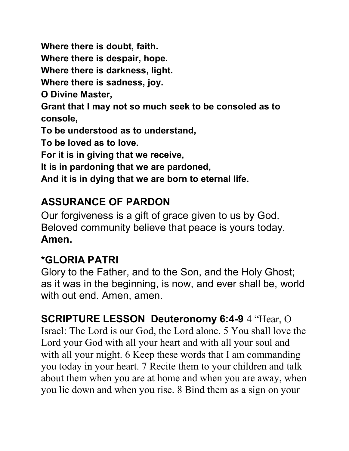Where there is doubt, faith.

Where there is despair, hope.

Where there is darkness, light.

Where there is sadness, joy.

O Divine Master,

Grant that I may not so much seek to be consoled as to console,

To be understood as to understand,

To be loved as to love.

For it is in giving that we receive,

It is in pardoning that we are pardoned,

And it is in dying that we are born to eternal life.

#### ASSURANCE OF PARDON

Our forgiveness is a gift of grace given to us by God. Beloved community believe that peace is yours today. Amen.

#### \*GLORIA PATRI

Glory to the Father, and to the Son, and the Holy Ghost; as it was in the beginning, is now, and ever shall be, world with out end. Amen, amen.

SCRIPTURE LESSON Deuteronomy 6:4-9 4 "Hear, O Israel: The Lord is our God, the Lord alone. 5 You shall love the Lord your God with all your heart and with all your soul and with all your might. 6 Keep these words that I am commanding you today in your heart. 7 Recite them to your children and talk about them when you are at home and when you are away, when you lie down and when you rise. 8 Bind them as a sign on your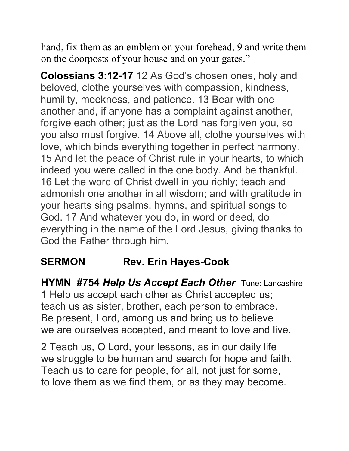hand, fix them as an emblem on your forehead, 9 and write them on the doorposts of your house and on your gates."

Colossians 3:12-17 12 As God's chosen ones, holy and beloved, clothe yourselves with compassion, kindness, humility, meekness, and patience. 13 Bear with one another and, if anyone has a complaint against another, forgive each other; just as the Lord has forgiven you, so you also must forgive. 14 Above all, clothe yourselves with love, which binds everything together in perfect harmony. 15 And let the peace of Christ rule in your hearts, to which indeed you were called in the one body. And be thankful. 16 Let the word of Christ dwell in you richly; teach and admonish one another in all wisdom; and with gratitude in your hearts sing psalms, hymns, and spiritual songs to God. 17 And whatever you do, in word or deed, do everything in the name of the Lord Jesus, giving thanks to God the Father through him.

#### SERMON Rev. Erin Hayes-Cook

**HYMN #754 Help Us Accept Each Other Tune: Lancashire** 1 Help us accept each other as Christ accepted us; teach us as sister, brother, each person to embrace. Be present, Lord, among us and bring us to believe we are ourselves accepted, and meant to love and live.

2 Teach us, O Lord, your lessons, as in our daily life we struggle to be human and search for hope and faith. Teach us to care for people, for all, not just for some, to love them as we find them, or as they may become.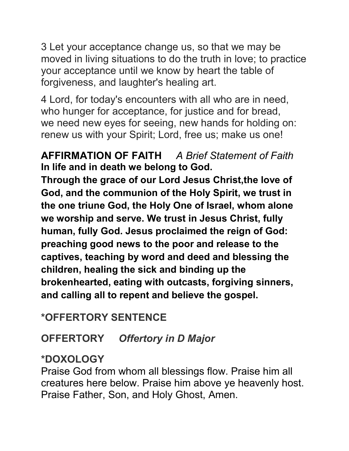3 Let your acceptance change us, so that we may be moved in living situations to do the truth in love; to practice your acceptance until we know by heart the table of forgiveness, and laughter's healing art.

4 Lord, for today's encounters with all who are in need, who hunger for acceptance, for justice and for bread, we need new eyes for seeing, new hands for holding on: renew us with your Spirit; Lord, free us; make us one!

#### AFFIRMATION OF FAITH A Brief Statement of Faith In life and in death we belong to God.

Through the grace of our Lord Jesus Christ,the love of God, and the communion of the Holy Spirit, we trust in the one triune God, the Holy One of Israel, whom alone we worship and serve. We trust in Jesus Christ, fully human, fully God. Jesus proclaimed the reign of God: preaching good news to the poor and release to the captives, teaching by word and deed and blessing the children, healing the sick and binding up the brokenhearted, eating with outcasts, forgiving sinners, and calling all to repent and believe the gospel.

#### \*OFFERTORY SENTENCE

#### OFFERTORY Offertory in D Major

#### \*DOXOLOGY

Praise God from whom all blessings flow. Praise him all creatures here below. Praise him above ye heavenly host. Praise Father, Son, and Holy Ghost, Amen.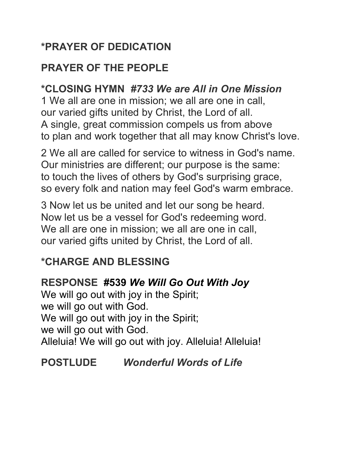#### \*PRAYER OF DEDICATION

#### PRAYER OF THE PEOPLE

#### \*CLOSING HYMN #733 We are All in One Mission

1 We all are one in mission; we all are one in call, our varied gifts united by Christ, the Lord of all. A single, great commission compels us from above to plan and work together that all may know Christ's love.

2 We all are called for service to witness in God's name. Our ministries are different; our purpose is the same: to touch the lives of others by God's surprising grace, so every folk and nation may feel God's warm embrace.

3 Now let us be united and let our song be heard. Now let us be a vessel for God's redeeming word. We all are one in mission; we all are one in call, our varied gifts united by Christ, the Lord of all.

#### \*CHARGE AND BLESSING

#### RESPONSE #539 We Will Go Out With Joy

We will go out with joy in the Spirit; we will go out with God. We will go out with joy in the Spirit; we will go out with God. Alleluia! We will go out with joy. Alleluia! Alleluia!

#### POSTLUDE Wonderful Words of Life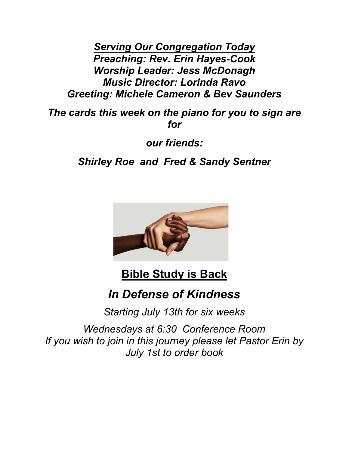Serving Our Congregation Today Preaching: Rev. Erin Hayes-Cook Worship Leader: Jess McDonagh Music Director: Lorinda Ravo Greeting: Michele Cameron & Bev Saunders

The cards this week on the piano for you to sign are for

our friends:

Shirley Roe and Fred & Sandy Sentner



#### Bible Study is Back

#### In Defense of Kindness

Starting July 13th for six weeks

Wednesdays at 6:30 Conference Room If you wish to join in this journey please let Pastor Erin by July 1st to order book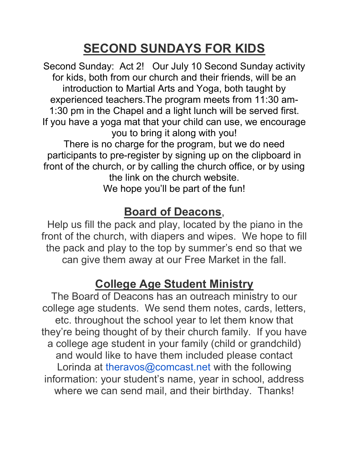# SECOND SUNDAYS FOR KIDS

Second Sunday: Act 2! Our July 10 Second Sunday activity for kids, both from our church and their friends, will be an introduction to Martial Arts and Yoga, both taught by experienced teachers.The program meets from 11:30 am-1:30 pm in the Chapel and a light lunch will be served first. If you have a yoga mat that your child can use, we encourage you to bring it along with you! There is no charge for the program, but we do need participants to pre-register by signing up on the clipboard in front of the church, or by calling the church office, or by using the link on the church website.

We hope you'll be part of the fun!

#### Board of Deacons,

Help us fill the pack and play, located by the piano in the front of the church, with diapers and wipes. We hope to fill the pack and play to the top by summer's end so that we can give them away at our Free Market in the fall.

#### College Age Student Ministry

The Board of Deacons has an outreach ministry to our college age students. We send them notes, cards, letters, etc. throughout the school year to let them know that they're being thought of by their church family. If you have a college age student in your family (child or grandchild) and would like to have them included please contact Lorinda at theravos@comcast.net with the following information: your student's name, year in school, address where we can send mail, and their birthday. Thanks!